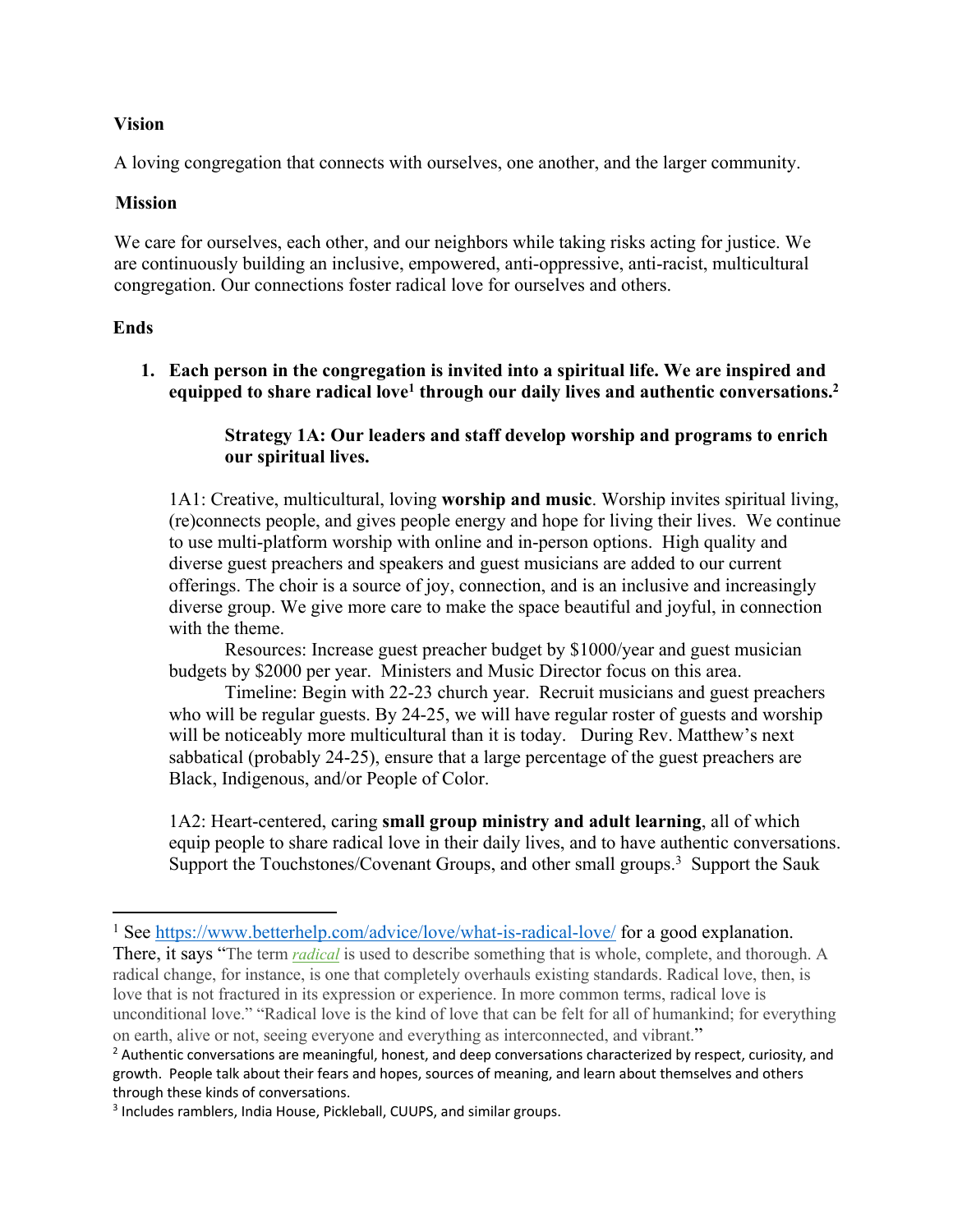## **Vision**

A loving congregation that connects with ourselves, one another, and the larger community.

## **Mission**

We care for ourselves, each other, and our neighbors while taking risks acting for justice. We are continuously building an inclusive, empowered, anti-oppressive, anti-racist, multicultural congregation. Our connections foster radical love for ourselves and others.

# **Ends**

**1. Each person in the congregation is invited into a spiritual life. We are inspired and equipped to share radical love1 through our daily lives and authentic conversations.2** 

# **Strategy 1A: Our leaders and staff develop worship and programs to enrich our spiritual lives.**

1A1: Creative, multicultural, loving **worship and music**. Worship invites spiritual living, (re)connects people, and gives people energy and hope for living their lives. We continue to use multi-platform worship with online and in-person options. High quality and diverse guest preachers and speakers and guest musicians are added to our current offerings. The choir is a source of joy, connection, and is an inclusive and increasingly diverse group. We give more care to make the space beautiful and joyful, in connection with the theme.

Resources: Increase guest preacher budget by \$1000/year and guest musician budgets by \$2000 per year. Ministers and Music Director focus on this area.

Timeline: Begin with 22-23 church year. Recruit musicians and guest preachers who will be regular guests. By 24-25, we will have regular roster of guests and worship will be noticeably more multicultural than it is today. During Rev. Matthew's next sabbatical (probably 24-25), ensure that a large percentage of the guest preachers are Black, Indigenous, and/or People of Color.

1A2: Heart-centered, caring **small group ministry and adult learning**, all of which equip people to share radical love in their daily lives, and to have authentic conversations. Support the Touchstones/Covenant Groups, and other small groups.<sup>3</sup> Support the Sauk

<sup>&</sup>lt;sup>1</sup> See https://www.betterhelp.com/advice/love/what-is-radical-love/ for a good explanation.

There, it says "The term *radical* is used to describe something that is whole, complete, and thorough. A radical change, for instance, is one that completely overhauls existing standards. Radical love, then, is love that is not fractured in its expression or experience. In more common terms, radical love is unconditional love." "Radical love is the kind of love that can be felt for all of humankind; for everything on earth, alive or not, seeing everyone and everything as interconnected, and vibrant."

 $<sup>2</sup>$  Authentic conversations are meaningful, honest, and deep conversations characterized by respect, curiosity, and</sup> growth. People talk about their fears and hopes, sources of meaning, and learn about themselves and others through these kinds of conversations.<br><sup>3</sup> Includes ramblers, India House, Pickleball, CUUPS, and similar groups.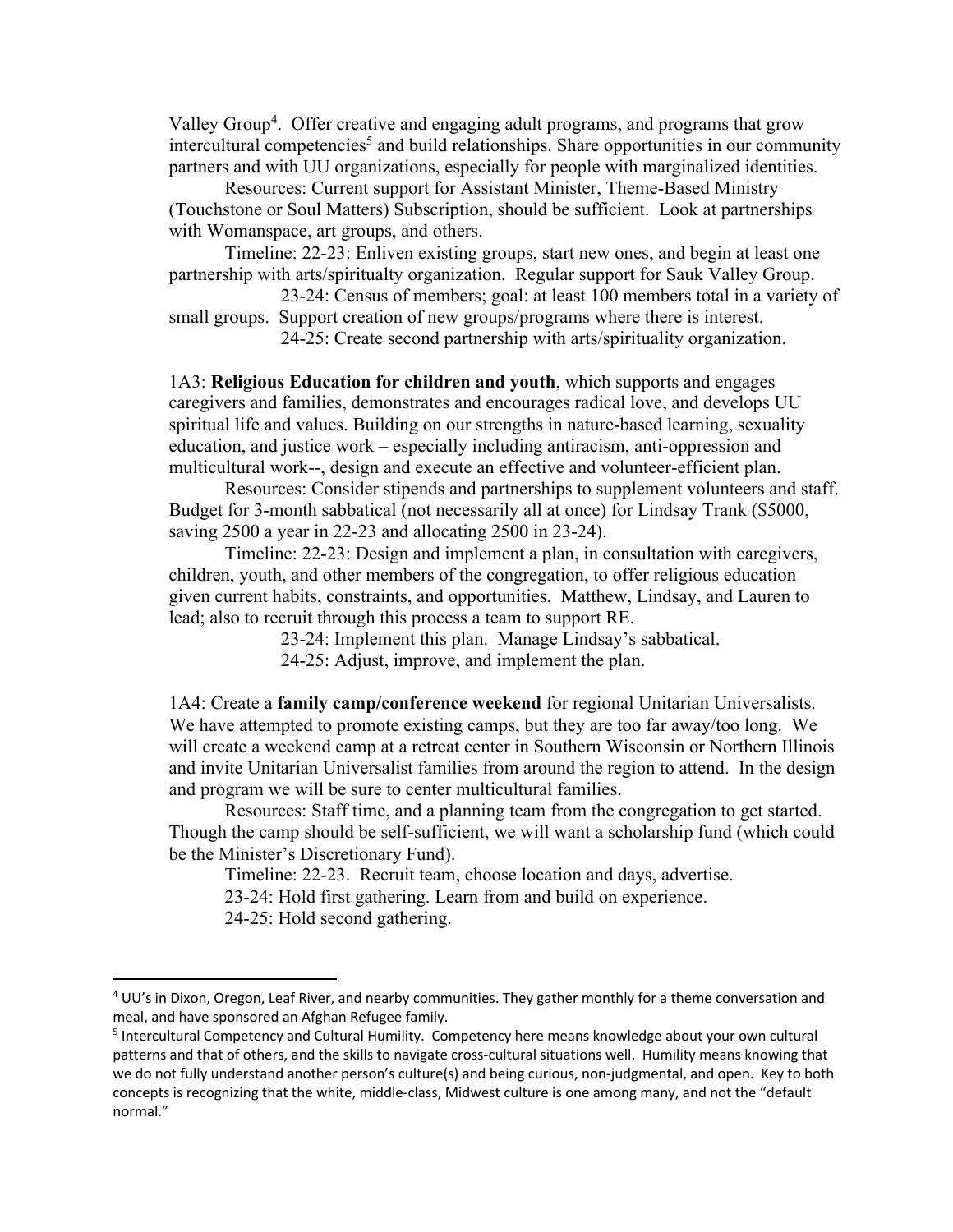Valley Group<sup>4</sup>. Offer creative and engaging adult programs, and programs that grow  $intercutural$  competencies<sup>5</sup> and build relationships. Share opportunities in our community partners and with UU organizations, especially for people with marginalized identities.

Resources: Current support for Assistant Minister, Theme-Based Ministry (Touchstone or Soul Matters) Subscription, should be sufficient. Look at partnerships with Womanspace, art groups, and others.

Timeline: 22-23: Enliven existing groups, start new ones, and begin at least one partnership with arts/spiritualty organization. Regular support for Sauk Valley Group.

23-24: Census of members; goal: at least 100 members total in a variety of small groups. Support creation of new groups/programs where there is interest.

24-25: Create second partnership with arts/spirituality organization.

1A3: **Religious Education for children and youth**, which supports and engages caregivers and families, demonstrates and encourages radical love, and develops UU spiritual life and values. Building on our strengths in nature-based learning, sexuality education, and justice work – especially including antiracism, anti-oppression and multicultural work--, design and execute an effective and volunteer-efficient plan.

Resources: Consider stipends and partnerships to supplement volunteers and staff. Budget for 3-month sabbatical (not necessarily all at once) for Lindsay Trank (\$5000, saving 2500 a year in 22-23 and allocating 2500 in 23-24).

Timeline: 22-23: Design and implement a plan, in consultation with caregivers, children, youth, and other members of the congregation, to offer religious education given current habits, constraints, and opportunities. Matthew, Lindsay, and Lauren to lead; also to recruit through this process a team to support RE.

23-24: Implement this plan. Manage Lindsay's sabbatical.

24-25: Adjust, improve, and implement the plan.

1A4: Create a **family camp/conference weekend** for regional Unitarian Universalists. We have attempted to promote existing camps, but they are too far away/too long. We will create a weekend camp at a retreat center in Southern Wisconsin or Northern Illinois and invite Unitarian Universalist families from around the region to attend. In the design and program we will be sure to center multicultural families.

Resources: Staff time, and a planning team from the congregation to get started. Though the camp should be self-sufficient, we will want a scholarship fund (which could be the Minister's Discretionary Fund).

Timeline: 22-23. Recruit team, choose location and days, advertise.

23-24: Hold first gathering. Learn from and build on experience.

24-25: Hold second gathering.

<sup>4</sup> UU's in Dixon, Oregon, Leaf River, and nearby communities. They gather monthly for a theme conversation and meal, and have sponsored an Afghan Refugee family.

<sup>5</sup> Intercultural Competency and Cultural Humility. Competency here means knowledge about your own cultural patterns and that of others, and the skills to navigate cross-cultural situations well. Humility means knowing that we do not fully understand another person's culture(s) and being curious, non-judgmental, and open. Key to both concepts is recognizing that the white, middle-class, Midwest culture is one among many, and not the "default normal."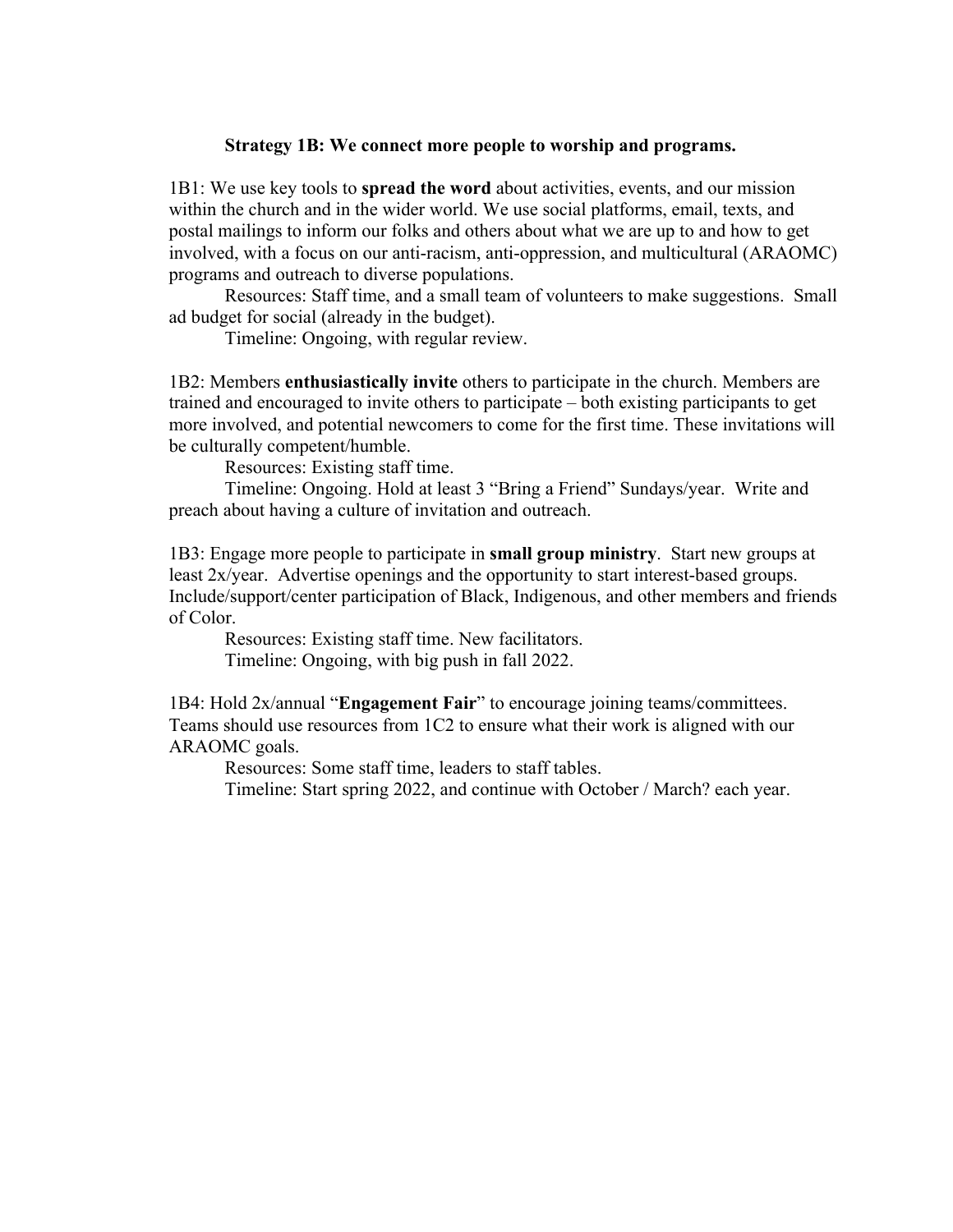#### **Strategy 1B: We connect more people to worship and programs.**

1B1: We use key tools to **spread the word** about activities, events, and our mission within the church and in the wider world. We use social platforms, email, texts, and postal mailings to inform our folks and others about what we are up to and how to get involved, with a focus on our anti-racism, anti-oppression, and multicultural (ARAOMC) programs and outreach to diverse populations.

Resources: Staff time, and a small team of volunteers to make suggestions. Small ad budget for social (already in the budget).

Timeline: Ongoing, with regular review.

1B2: Members **enthusiastically invite** others to participate in the church. Members are trained and encouraged to invite others to participate – both existing participants to get more involved, and potential newcomers to come for the first time. These invitations will be culturally competent/humble.

Resources: Existing staff time.

Timeline: Ongoing. Hold at least 3 "Bring a Friend" Sundays/year. Write and preach about having a culture of invitation and outreach.

1B3: Engage more people to participate in **small group ministry**. Start new groups at least 2x/year. Advertise openings and the opportunity to start interest-based groups. Include/support/center participation of Black, Indigenous, and other members and friends of Color.

Resources: Existing staff time. New facilitators. Timeline: Ongoing, with big push in fall 2022.

1B4: Hold 2x/annual "**Engagement Fair**" to encourage joining teams/committees. Teams should use resources from 1C2 to ensure what their work is aligned with our ARAOMC goals.

Resources: Some staff time, leaders to staff tables.

Timeline: Start spring 2022, and continue with October / March? each year.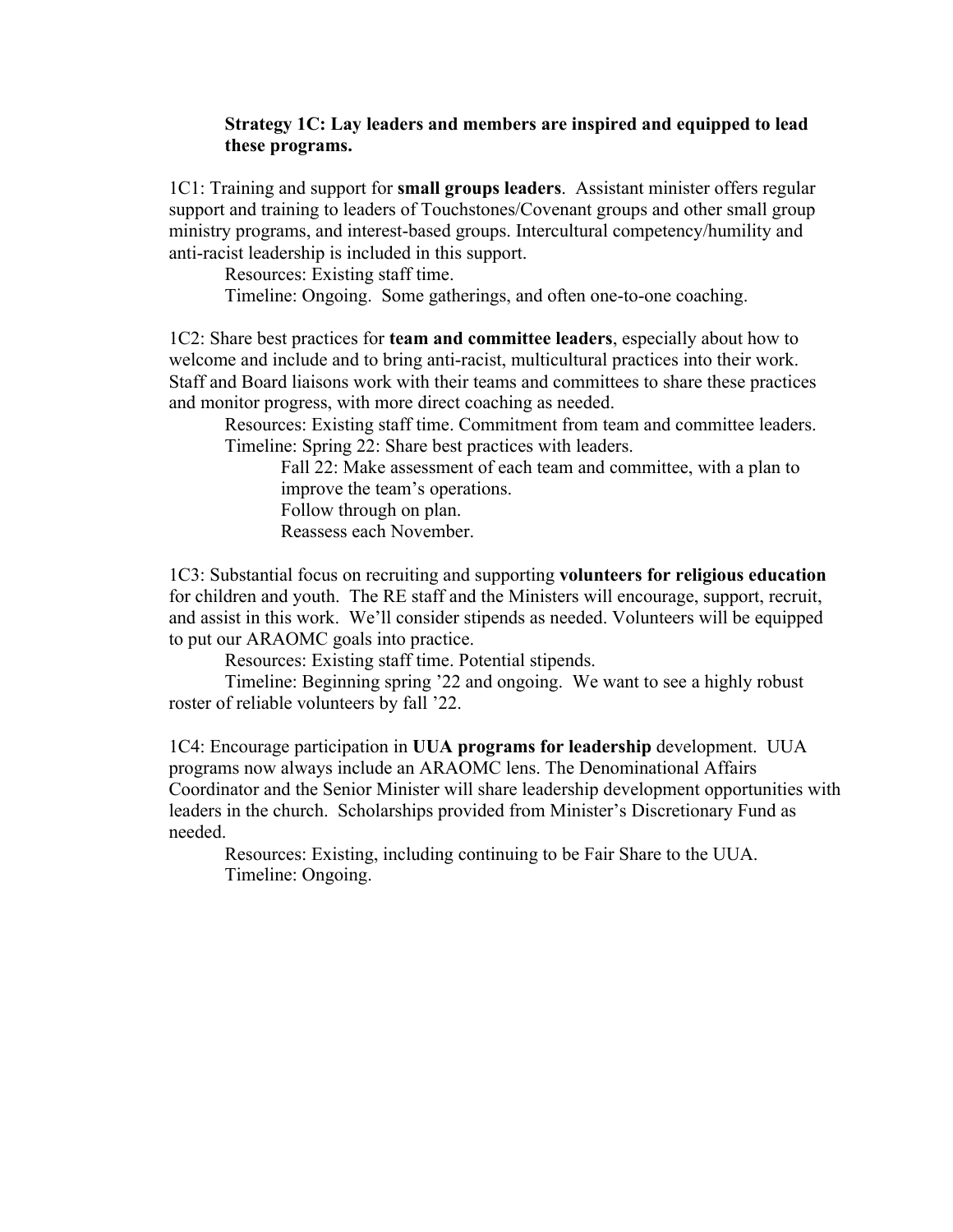## **Strategy 1C: Lay leaders and members are inspired and equipped to lead these programs.**

1C1: Training and support for **small groups leaders**. Assistant minister offers regular support and training to leaders of Touchstones/Covenant groups and other small group ministry programs, and interest-based groups. Intercultural competency/humility and anti-racist leadership is included in this support.

Resources: Existing staff time.

Timeline: Ongoing. Some gatherings, and often one-to-one coaching.

1C2: Share best practices for **team and committee leaders**, especially about how to welcome and include and to bring anti-racist, multicultural practices into their work. Staff and Board liaisons work with their teams and committees to share these practices and monitor progress, with more direct coaching as needed.

Resources: Existing staff time. Commitment from team and committee leaders. Timeline: Spring 22: Share best practices with leaders.

Fall 22: Make assessment of each team and committee, with a plan to improve the team's operations. Follow through on plan.

Reassess each November.

1C3: Substantial focus on recruiting and supporting **volunteers for religious education** for children and youth. The RE staff and the Ministers will encourage, support, recruit, and assist in this work. We'll consider stipends as needed. Volunteers will be equipped to put our ARAOMC goals into practice.

Resources: Existing staff time. Potential stipends.

Timeline: Beginning spring '22 and ongoing. We want to see a highly robust roster of reliable volunteers by fall '22.

1C4: Encourage participation in **UUA programs for leadership** development. UUA programs now always include an ARAOMC lens. The Denominational Affairs Coordinator and the Senior Minister will share leadership development opportunities with leaders in the church. Scholarships provided from Minister's Discretionary Fund as needed.

Resources: Existing, including continuing to be Fair Share to the UUA. Timeline: Ongoing.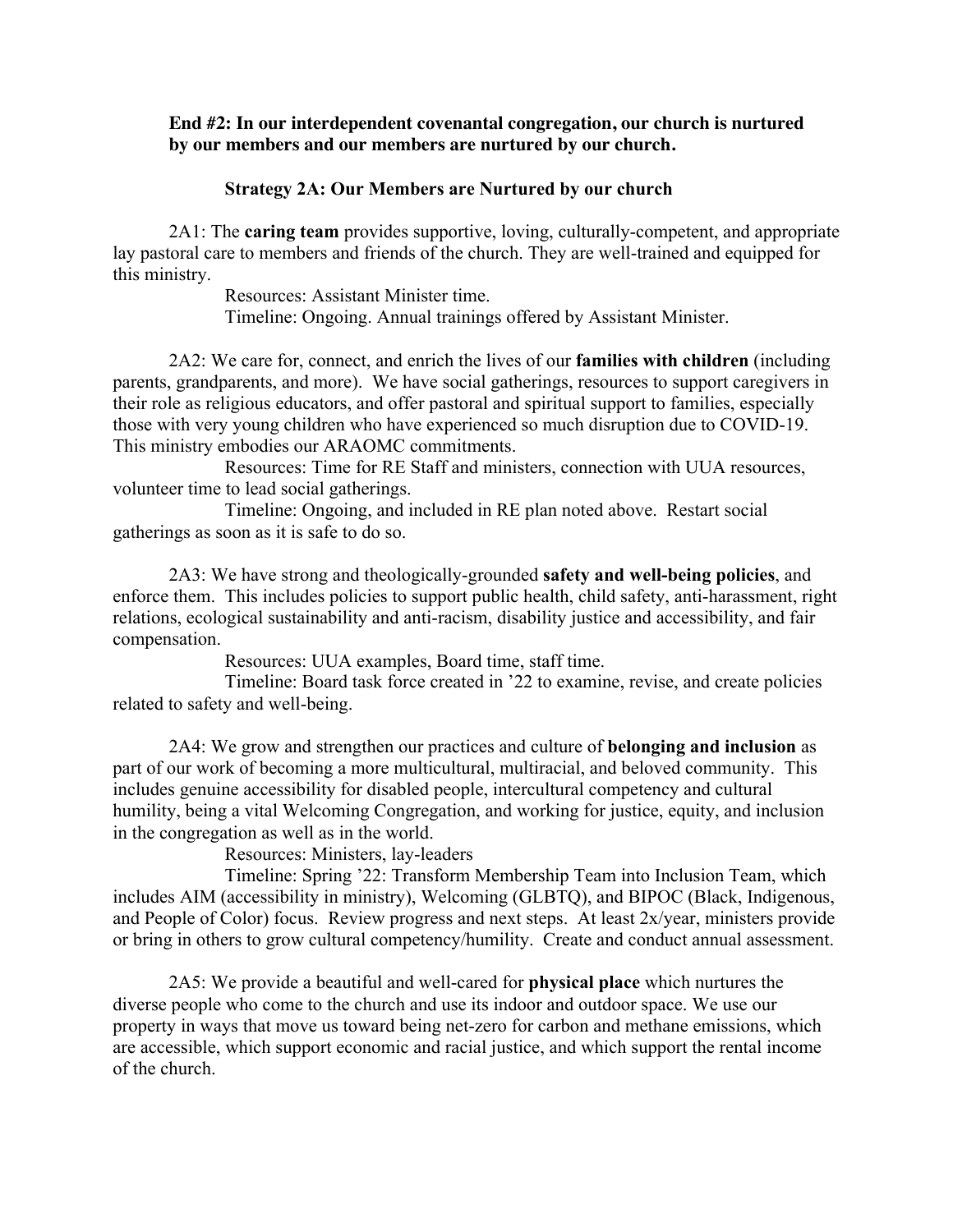### **End #2: In our interdependent covenantal congregation, our church is nurtured by our members and our members are nurtured by our church.**

#### **Strategy 2A: Our Members are Nurtured by our church**

2A1: The **caring team** provides supportive, loving, culturally-competent, and appropriate lay pastoral care to members and friends of the church. They are well-trained and equipped for this ministry.

> Resources: Assistant Minister time. Timeline: Ongoing. Annual trainings offered by Assistant Minister.

2A2: We care for, connect, and enrich the lives of our **families with children** (including parents, grandparents, and more). We have social gatherings, resources to support caregivers in their role as religious educators, and offer pastoral and spiritual support to families, especially those with very young children who have experienced so much disruption due to COVID-19. This ministry embodies our ARAOMC commitments.

Resources: Time for RE Staff and ministers, connection with UUA resources, volunteer time to lead social gatherings.

Timeline: Ongoing, and included in RE plan noted above. Restart social gatherings as soon as it is safe to do so.

2A3: We have strong and theologically-grounded **safety and well-being policies**, and enforce them. This includes policies to support public health, child safety, anti-harassment, right relations, ecological sustainability and anti-racism, disability justice and accessibility, and fair compensation.

Resources: UUA examples, Board time, staff time.

Timeline: Board task force created in '22 to examine, revise, and create policies related to safety and well-being.

2A4: We grow and strengthen our practices and culture of **belonging and inclusion** as part of our work of becoming a more multicultural, multiracial, and beloved community. This includes genuine accessibility for disabled people, intercultural competency and cultural humility, being a vital Welcoming Congregation, and working for justice, equity, and inclusion in the congregation as well as in the world.

Resources: Ministers, lay-leaders

Timeline: Spring '22: Transform Membership Team into Inclusion Team, which includes AIM (accessibility in ministry), Welcoming (GLBTQ), and BIPOC (Black, Indigenous, and People of Color) focus. Review progress and next steps. At least 2x/year, ministers provide or bring in others to grow cultural competency/humility. Create and conduct annual assessment.

2A5: We provide a beautiful and well-cared for **physical place** which nurtures the diverse people who come to the church and use its indoor and outdoor space. We use our property in ways that move us toward being net-zero for carbon and methane emissions, which are accessible, which support economic and racial justice, and which support the rental income of the church.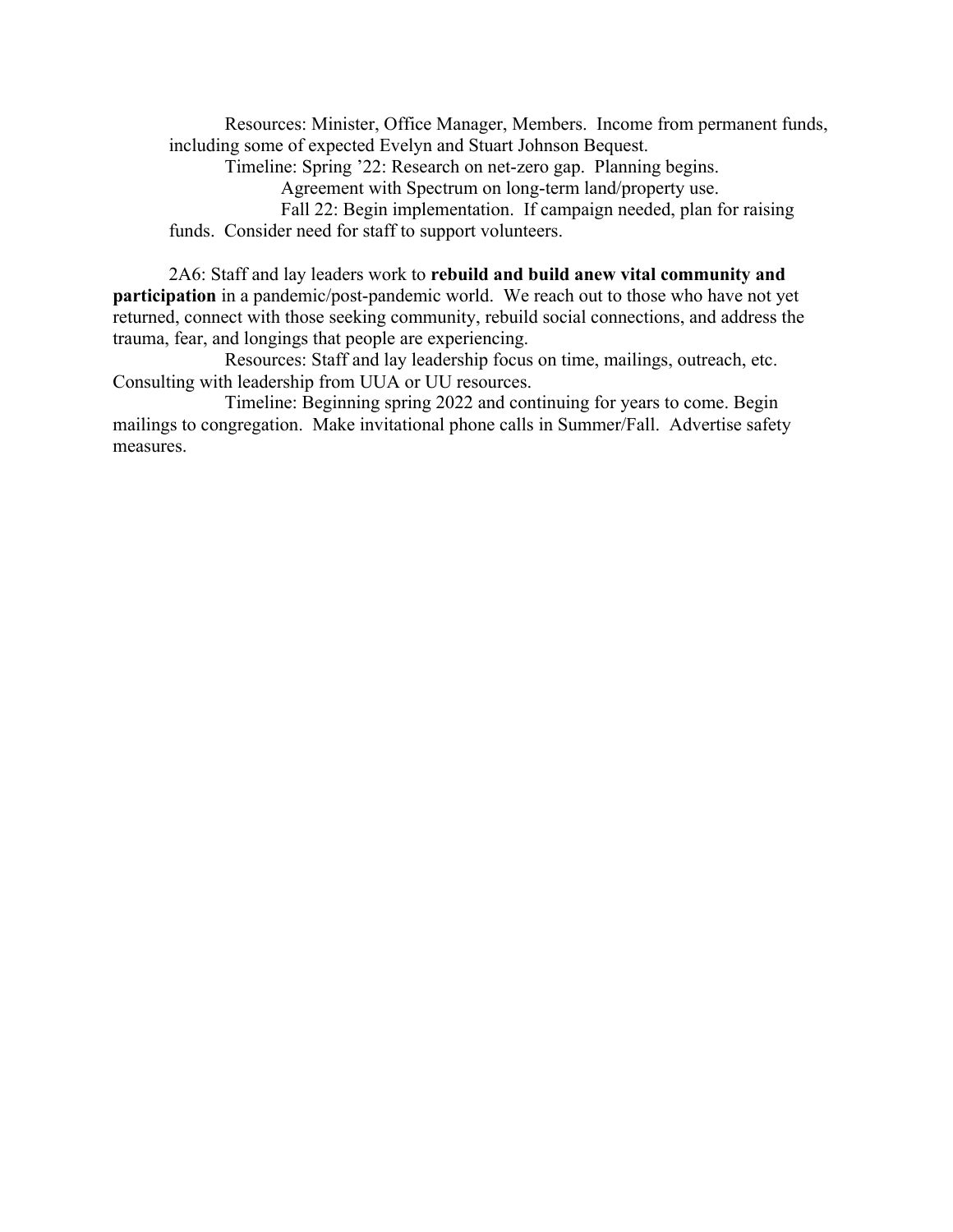Resources: Minister, Office Manager, Members. Income from permanent funds, including some of expected Evelyn and Stuart Johnson Bequest.

Timeline: Spring '22: Research on net-zero gap. Planning begins.

Agreement with Spectrum on long-term land/property use.

Fall 22: Begin implementation. If campaign needed, plan for raising funds. Consider need for staff to support volunteers.

2A6: Staff and lay leaders work to **rebuild and build anew vital community and participation** in a pandemic/post-pandemic world. We reach out to those who have not yet returned, connect with those seeking community, rebuild social connections, and address the trauma, fear, and longings that people are experiencing.

Resources: Staff and lay leadership focus on time, mailings, outreach, etc. Consulting with leadership from UUA or UU resources.

Timeline: Beginning spring 2022 and continuing for years to come. Begin mailings to congregation. Make invitational phone calls in Summer/Fall. Advertise safety measures.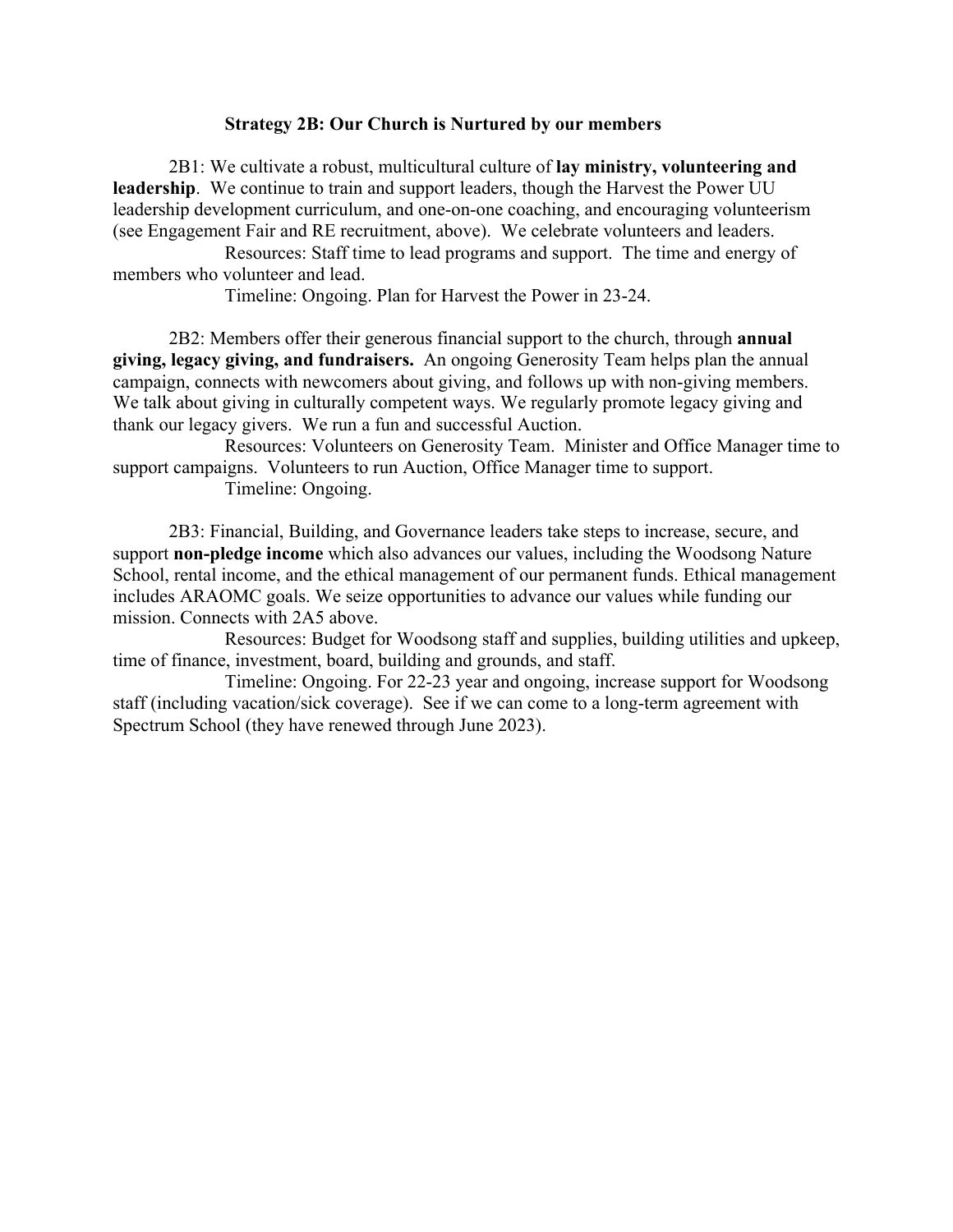#### **Strategy 2B: Our Church is Nurtured by our members**

2B1: We cultivate a robust, multicultural culture of **lay ministry, volunteering and leadership**. We continue to train and support leaders, though the Harvest the Power UU leadership development curriculum, and one-on-one coaching, and encouraging volunteerism (see Engagement Fair and RE recruitment, above). We celebrate volunteers and leaders.

Resources: Staff time to lead programs and support. The time and energy of members who volunteer and lead.

Timeline: Ongoing. Plan for Harvest the Power in 23-24.

2B2: Members offer their generous financial support to the church, through **annual giving, legacy giving, and fundraisers.** An ongoing Generosity Team helps plan the annual campaign, connects with newcomers about giving, and follows up with non-giving members. We talk about giving in culturally competent ways. We regularly promote legacy giving and thank our legacy givers. We run a fun and successful Auction.

Resources: Volunteers on Generosity Team. Minister and Office Manager time to support campaigns. Volunteers to run Auction, Office Manager time to support. Timeline: Ongoing.

2B3: Financial, Building, and Governance leaders take steps to increase, secure, and support **non-pledge income** which also advances our values, including the Woodsong Nature School, rental income, and the ethical management of our permanent funds. Ethical management includes ARAOMC goals. We seize opportunities to advance our values while funding our mission. Connects with 2A5 above.

Resources: Budget for Woodsong staff and supplies, building utilities and upkeep, time of finance, investment, board, building and grounds, and staff.

Timeline: Ongoing. For 22-23 year and ongoing, increase support for Woodsong staff (including vacation/sick coverage). See if we can come to a long-term agreement with Spectrum School (they have renewed through June 2023).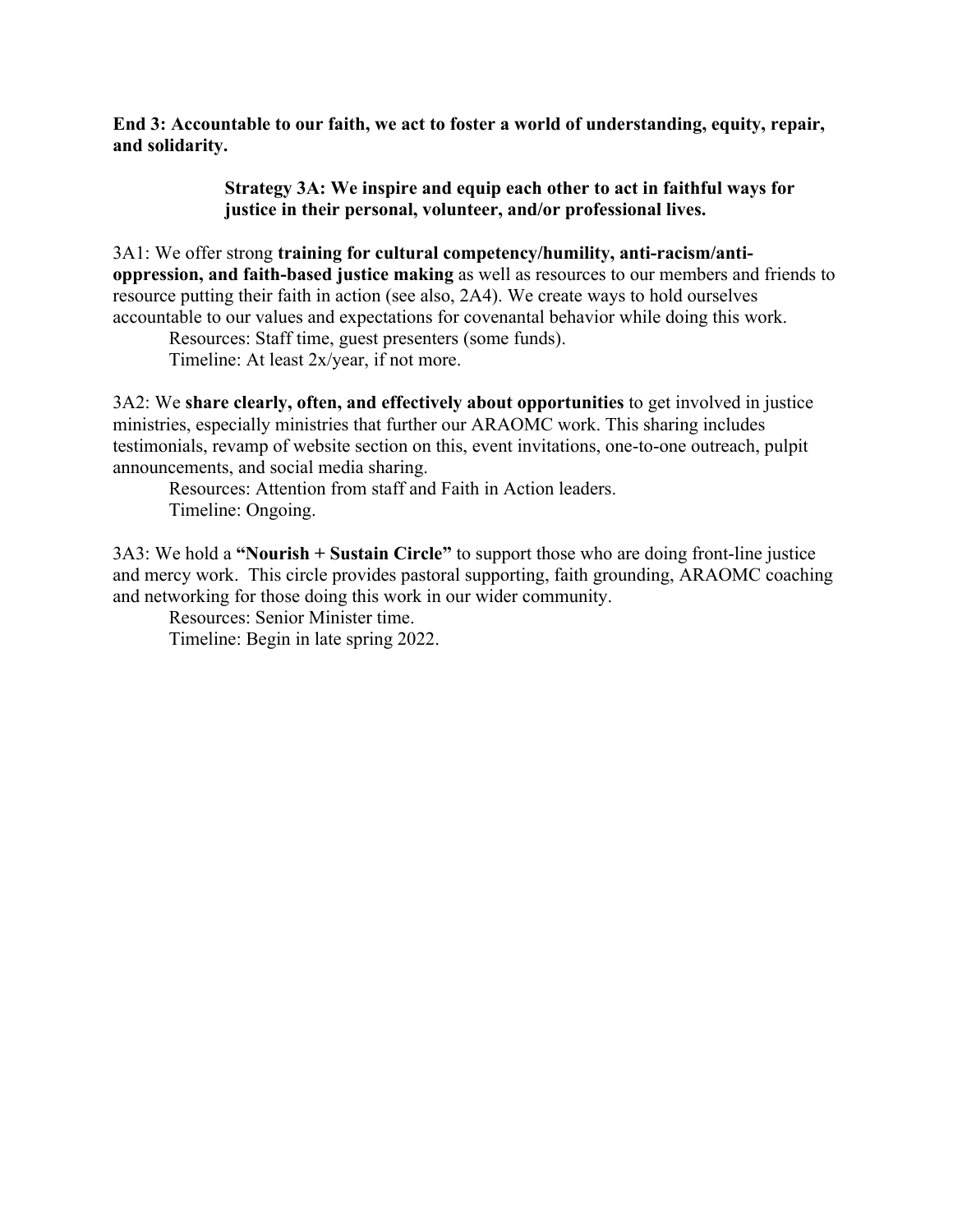**End 3: Accountable to our faith, we act to foster a world of understanding, equity, repair, and solidarity.**

> **Strategy 3A: We inspire and equip each other to act in faithful ways for justice in their personal, volunteer, and/or professional lives.**

3A1: We offer strong **training for cultural competency/humility, anti-racism/antioppression, and faith-based justice making** as well as resources to our members and friends to resource putting their faith in action (see also, 2A4). We create ways to hold ourselves accountable to our values and expectations for covenantal behavior while doing this work.

Resources: Staff time, guest presenters (some funds). Timeline: At least 2x/year, if not more.

3A2: We **share clearly, often, and effectively about opportunities** to get involved in justice ministries, especially ministries that further our ARAOMC work. This sharing includes testimonials, revamp of website section on this, event invitations, one-to-one outreach, pulpit announcements, and social media sharing.

Resources: Attention from staff and Faith in Action leaders. Timeline: Ongoing.

3A3: We hold a **"Nourish + Sustain Circle"** to support those who are doing front-line justice and mercy work. This circle provides pastoral supporting, faith grounding, ARAOMC coaching and networking for those doing this work in our wider community.

Resources: Senior Minister time. Timeline: Begin in late spring 2022.